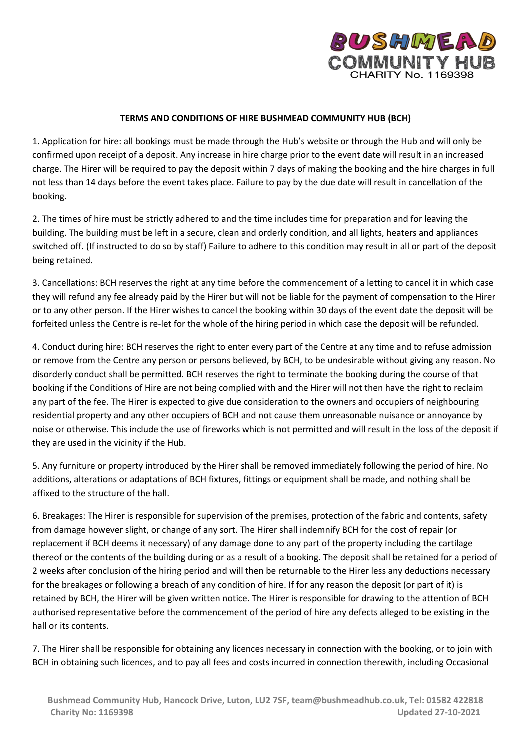

## **TERMS AND CONDITIONS OF HIRE BUSHMEAD COMMUNITY HUB (BCH)**

1. Application for hire: all bookings must be made through the Hub's website or through the Hub and will only be confirmed upon receipt of a deposit. Any increase in hire charge prior to the event date will result in an increased charge. The Hirer will be required to pay the deposit within 7 days of making the booking and the hire charges in full not less than 14 days before the event takes place. Failure to pay by the due date will result in cancellation of the booking.

2. The times of hire must be strictly adhered to and the time includes time for preparation and for leaving the building. The building must be left in a secure, clean and orderly condition, and all lights, heaters and appliances switched off. (If instructed to do so by staff) Failure to adhere to this condition may result in all or part of the deposit being retained.

3. Cancellations: BCH reserves the right at any time before the commencement of a letting to cancel it in which case they will refund any fee already paid by the Hirer but will not be liable for the payment of compensation to the Hirer or to any other person. If the Hirer wishes to cancel the booking within 30 days of the event date the deposit will be forfeited unless the Centre is re-let for the whole of the hiring period in which case the deposit will be refunded.

4. Conduct during hire: BCH reserves the right to enter every part of the Centre at any time and to refuse admission or remove from the Centre any person or persons believed, by BCH, to be undesirable without giving any reason. No disorderly conduct shall be permitted. BCH reserves the right to terminate the booking during the course of that booking if the Conditions of Hire are not being complied with and the Hirer will not then have the right to reclaim any part of the fee. The Hirer is expected to give due consideration to the owners and occupiers of neighbouring residential property and any other occupiers of BCH and not cause them unreasonable nuisance or annoyance by noise or otherwise. This include the use of fireworks which is not permitted and will result in the loss of the deposit if they are used in the vicinity if the Hub.

5. Any furniture or property introduced by the Hirer shall be removed immediately following the period of hire. No additions, alterations or adaptations of BCH fixtures, fittings or equipment shall be made, and nothing shall be affixed to the structure of the hall.

6. Breakages: The Hirer is responsible for supervision of the premises, protection of the fabric and contents, safety from damage however slight, or change of any sort. The Hirer shall indemnify BCH for the cost of repair (or replacement if BCH deems it necessary) of any damage done to any part of the property including the cartilage thereof or the contents of the building during or as a result of a booking. The deposit shall be retained for a period of 2 weeks after conclusion of the hiring period and will then be returnable to the Hirer less any deductions necessary for the breakages or following a breach of any condition of hire. If for any reason the deposit (or part of it) is retained by BCH, the Hirer will be given written notice. The Hirer is responsible for drawing to the attention of BCH authorised representative before the commencement of the period of hire any defects alleged to be existing in the hall or its contents.

7. The Hirer shall be responsible for obtaining any licences necessary in connection with the booking, or to join with BCH in obtaining such licences, and to pay all fees and costs incurred in connection therewith, including Occasional